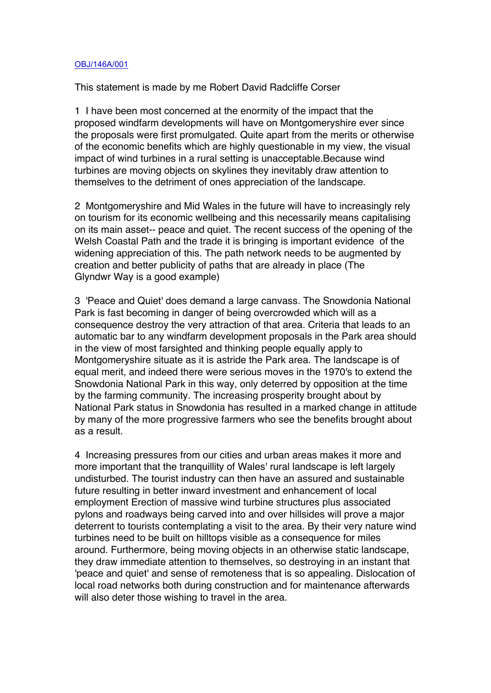## OBJ/146A/001

This statement is made by me Robert David Radcliffe Corser

1 I have been most concerned at the enormity of the impact that the proposed windfarm developments will have on Montgomeryshire ever since the proposals were first promulgated. Quite apart from the merits or otherwise of the economic benefits which are highly questionable in my view, the visual impact of wind turbines in a rural setting is unacceptable.Because wind turbines are moving objects on skylines they inevitably draw attention to themselves to the detriment of ones appreciation of the landscape.

2 Montgomeryshire and Mid Wales in the future will have to increasingly rely on tourism for its economic wellbeing and this necessarily means capitalising on its main asset-- peace and quiet. The recent success of the opening of the Welsh Coastal Path and the trade it is bringing is important evidence of the widening appreciation of this. The path network needs to be augmented by creation and better publicity of paths that are already in place (The Glyndwr Way is a good example)

3 'Peace and Quiet' does demand a large canvass. The Snowdonia National Park is fast becoming in danger of being overcrowded which will as a consequence destroy the very attraction of that area. Criteria that leads to an automatic bar to any windfarm development proposals in the Park area should in the view of most farsighted and thinking people equally apply to Montgomeryshire situate as it is astride the Park area. The landscape is of equal merit, and indeed there were serious moves in the 1970's to extend the Snowdonia National Park in this way, only deterred by opposition at the time by the farming community. The increasing prosperity brought about by National Park status in Snowdonia has resulted in a marked change in attitude by many of the more progressive farmers who see the benefits brought about as a result.

4 Increasing pressures from our cities and urban areas makes it more and more important that the tranquillity of Wales' rural landscape is left largely undisturbed. The tourist industry can then have an assured and sustainable future resulting in better inward investment and enhancement of local employment Erection of massive wind turbine structures plus associated pylons and roadways being carved into and over hillsides will prove a major deterrent to tourists contemplating a visit to the area. By their very nature wind turbines need to be built on hilltops visible as a consequence for miles around. Furthermore, being moving objects in an otherwise static landscape, they draw immediate attention to themselves, so destroying in an instant that 'peace and quiet' and sense of remoteness that is so appealing. Dislocation of local road networks both during construction and for maintenance afterwards will also deter those wishing to travel in the area.